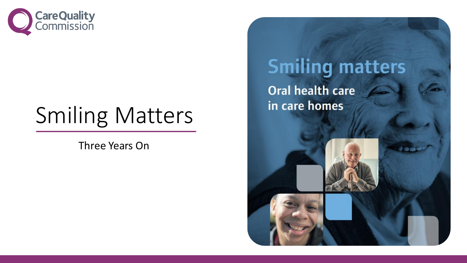

# Smiling Matters

Three Years On

**Smiling matters** Oral health care in care homes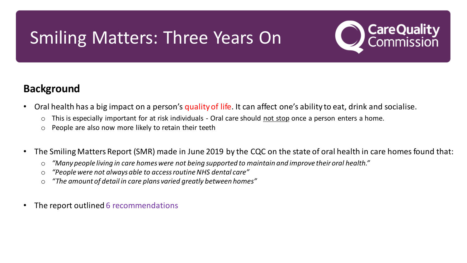

## **Background**

- Oral health has a big impact on a person's quality of life. It can affect one's ability to eat, drink and socialise.
	- o This is especially important for at risk individuals Oral care should not stop once a person enters a home.
	- o People are also now more likely to retain their teeth
- The Smiling Matters Report (SMR) made in June 2019 by the CQC on the state of oral health in care homes found that:
	- o *"Many people living in care homes were not being supported to maintain and improve their oral health."*
	- o *"People were not always able to access routine NHS dental care"*
	- o *"The amount of detail in care plans varied greatly between homes"*
- The report outlined 6 recommendations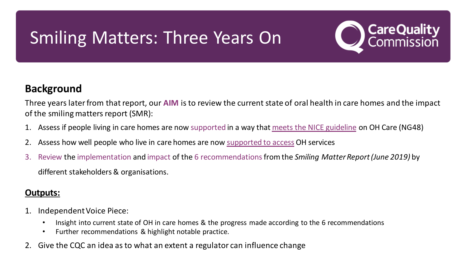

## **Background**

Three years later from that report, our **AIM** is to review the current state of oral health in care homes and the impact of the smiling matters report (SMR):

- 1. Assess if people living in care homes are now supported in a way that meets the NICE guideline on OH Care (NG48)
- 2. Assess how well people who live in care homes are now supported to access OH services
- 3. Review the implementation and impact of the 6 recommendations from the *Smiling Matter Report (June 2019)* by different stakeholders & organisations.

### **Outputs:**

- 1. Independent Voice Piece:
	- Insight into current state of OH in care homes & the progress made according to the 6 recommendations
	- Further recommendations & highlight notable practice.
- 2. Give the CQC an idea as to what an extent a regulator can influence change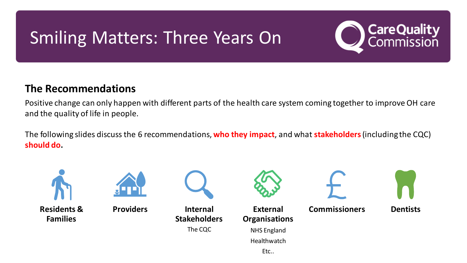

### **The Recommendations**

Positive change can only happen with different parts of the health care system coming together to improve OH care and the quality of life in people.

The following slides discuss the 6 recommendations, **who they impact**, and what **stakeholders**(including the CQC) **should do.** 

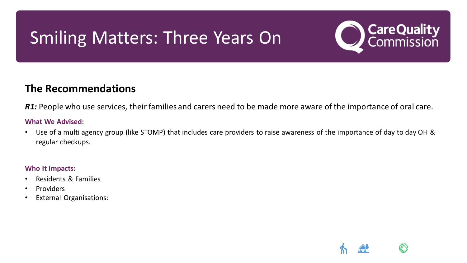

### **The Recommendations**

*R1:* People who use services, their families and carers need to be made more aware of the importance of oral care*.*

#### **What We Advised:**

• Use of a multi agency group (like STOMP) that includes care providers to raise awareness of the importance of day to day OH & regular checkups.

- Residents & Families
- **Providers**
- External Organisations:

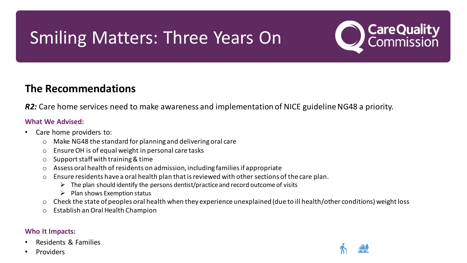

### **The Recommendations**

*R2:* Care home services need to make awareness and implementation of NICE guideline NG48 a priority.

#### **What We Advised:**

- Care home providers to:
	- o Make NG48 the standard for planning and delivering oral care
	- o Ensure OH is of equal weight in personal care tasks
	- $\circ$  Support staff with training & time
	- o Assess oral health of residents on admission, including families if appropriate
	- Ensure residents have a oral health plan that is reviewed with other sections of the care plan.
		- $\triangleright$  The plan should identify the persons dentist/practice and record outcome of visits
		- $\triangleright$  Plan shows Exemption status
	- o Check the state of peoples oral health when they experience unexplained (due to ill health/other conditions) weight loss
	- o Establish an Oral Health Champion

- Residents & Families
- **Providers**

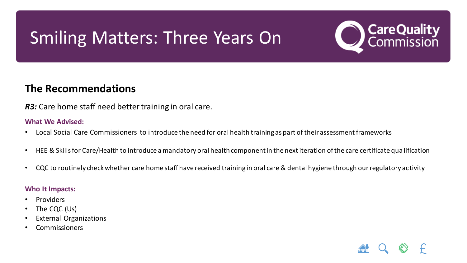

### **The Recommendations**

#### *R3:* Care home staff need better training in oral care.

#### **What We Advised:**

- Local Social Care Commissioners to introduce the need for oral health training as part of their assessment frameworks
- HEE & Skills for Care/Health to introduce a mandatory oral health component in the next iteration of the care certificate qua lification
- CQC to routinely check whether care home staff have received training in oral care & dental hygiene through our regulatory activity

- Providers
- The CQC (Us)
- **External Organizations**
- **Commissioners**

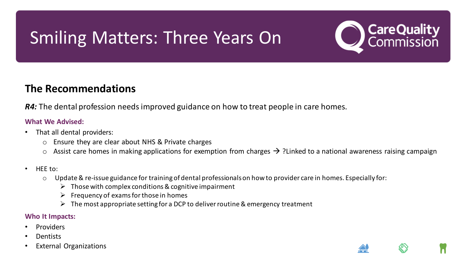

### **The Recommendations**

*R4:* The dental profession needs improved guidance on how to treat people in care homes.

#### **What We Advised:**

- That all dental providers:
	- Ensure they are clear about NHS & Private charges
	- $\circ$  Assist care homes in making applications for exemption from charges  $\rightarrow$  ?Linked to a national awareness raising campaign
- HEE to:
	- Update & re-issue guidance for training of dental professionals on how to provider care in homes. Especially for:
		- $\triangleright$  Those with complex conditions & cognitive impairment
		- $\triangleright$  Frequency of exams for those in homes
		- $\triangleright$  The most appropriate setting for a DCP to deliver routine & emergency treatment

- **Providers**
- Dentists
- **External Organizations**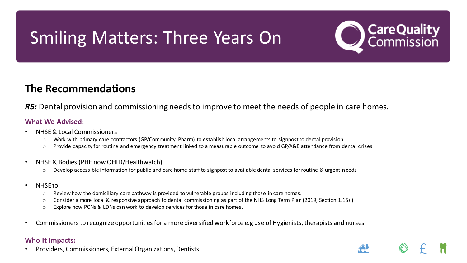

### **The Recommendations**

#### *R5:* Dental provision and commissioning needs to improve to meet the needs of people in care homes.

#### **What We Advised:**

- NHSE & Local Commissioners
	- o Work with primary care contractors (GP/Community Pharm) to establish local arrangements to signpost to dental provision
	- $\circ$  Provide capacity for routine and emergency treatment linked to a measurable outcome to avoid GP/A&E attendance from dental crises
- NHSE & Bodies (PHE now OHID/Healthwatch)
	- Develop accessible information for public and care home staff to signpost to available dental services for routine & urgent needs
- NHSE to:
	- Review how the domiciliary care pathway is provided to vulnerable groups including those in care homes.
	- o Consider a more local & responsive approach to dental commissioning as part of the NHS Long Term Plan (2019, Section 1.15) )
	- o Explore how PCNs & LDNs can work to develop services for those in care homes.
- Commissioners to recognize opportunities for a more diversified workforce e.g use of Hygienists, therapists and nurses

#### **Who It Impacts:**

• Providers, Commissioners, External Organizations, Dentists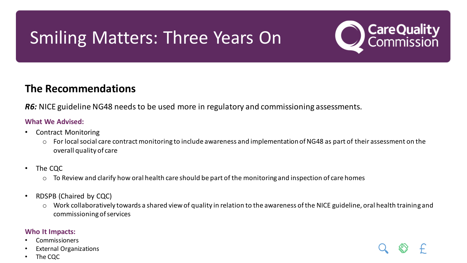

### **The Recommendations**

*R6:* NICE guideline NG48 needs to be used more in regulatory and commissioning assessments.

#### **What We Advised:**

- Contract Monitoring
	- For local social care contract monitoring to include awareness and implementation of NG48 as part of their assessment on the overall quality of care
- The CQC
	- o To Review and clarify how oral health care should be part of the monitoring and inspection of care homes
- RDSPB (Chaired by CQC)
	- o Work collaboratively towards a shared view of quality in relation to the awareness of the NICE guideline, oral health training and commissioning of services

- **Commissioners**
- **External Organizations**
- The CQC

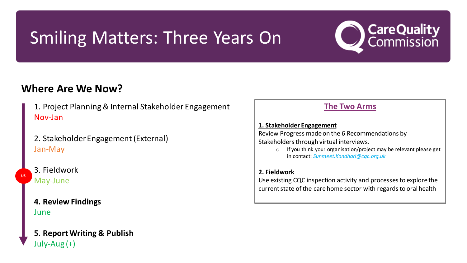

### **Where Are We Now?**

- 1. Project Planning & Internal Stakeholder Engagement Nov-Jan
- 2. Stakeholder Engagement (External) Jan-May

### 3. Fieldwork May-June

**US**

#### **4. Review Findings** June

### **5. Report Writing & Publish** July-Aug (+)

#### **The Two Arms**

**1. Stakeholder Engagement** Review Progress made on the 6 Recommendations by Stakeholders through virtual interviews.

o If you think your organisation/project may be relevant please get in contact: *Sunmeet.Kandhari@cqc.org.uk*

#### **2. Fieldwork**

Use existing CQC inspection activity and processes to explore the current state of the care home sector with regards to oral health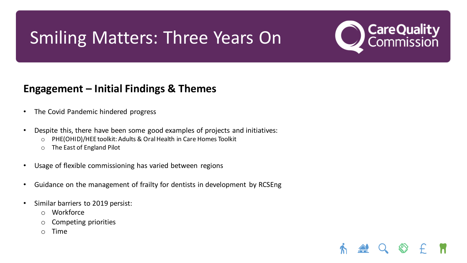

### **Engagement – Initial Findings & Themes**

- The Covid Pandemic hindered progress
- Despite this, there have been some good examples of projects and initiatives:
	- o PHE(OHID)/HEE toolkit: Adults & Oral Health in Care Homes Toolkit
	- o The East of England Pilot
- Usage of flexible commissioning has varied between regions
- Guidance on the management of frailty for dentists in development by RCSEng
- Similar barriers to 2019 persist:
	- o Workforce
	- o Competing priorities
	- o Time